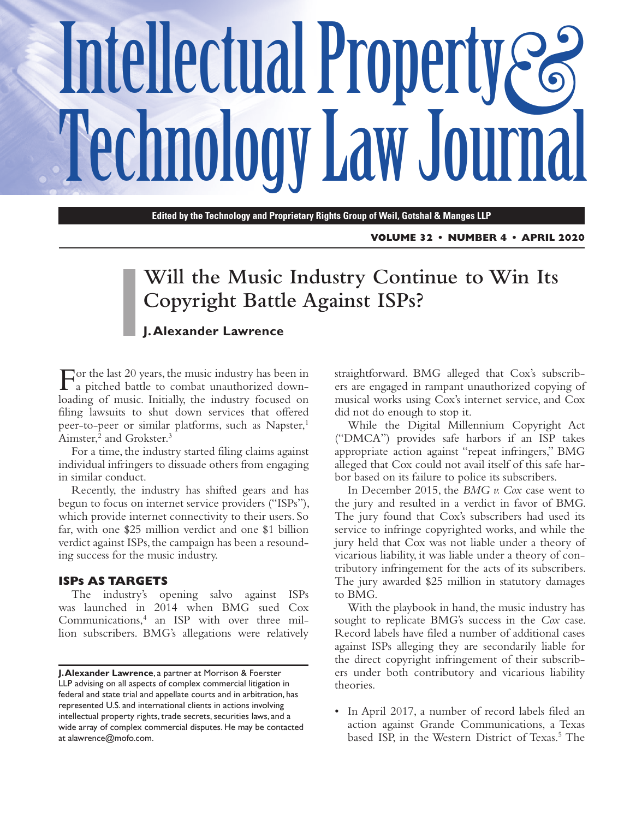# Intellectual Property & **Technology Law Journal**

**Edited by the Technology and Proprietary Rights Group of Weil, Gotshal & Manges LLP**

**VOLUME 32 • NUMBER 4 • APRIL 2020**

# **Will the Music Industry Continue to Win Its Copyright Battle Against ISPs?**

## **J. Alexander Lawrence**

For the last 20 years, the music industry has been in a pitched battle to combat unauthorized downloading of music. Initially, the industry focused on filing lawsuits to shut down services that offered peer-to-peer or similar platforms, such as Napster,<sup>1</sup> Aimster,<sup>2</sup> and Grokster.<sup>3</sup>

For a time, the industry started filing claims against individual infringers to dissuade others from engaging in similar conduct.

Recently, the industry has shifted gears and has begun to focus on internet service providers ("ISPs"), which provide internet connectivity to their users. So far, with one \$25 million verdict and one \$1 billion verdict against ISPs, the campaign has been a resounding success for the music industry.

#### **ISPs AS TARGETS**

The industry's opening salvo against ISPs was launched in 2014 when BMG sued Cox Communications,4 an ISP with over three million subscribers. BMG's allegations were relatively straightforward. BMG alleged that Cox's subscribers are engaged in rampant unauthorized copying of musical works using Cox's internet service, and Cox did not do enough to stop it.

While the Digital Millennium Copyright Act ("DMCA") provides safe harbors if an ISP takes appropriate action against "repeat infringers," BMG alleged that Cox could not avail itself of this safe harbor based on its failure to police its subscribers.

In December 2015, the *BMG v. Cox* case went to the jury and resulted in a verdict in favor of BMG. The jury found that Cox's subscribers had used its service to infringe copyrighted works, and while the jury held that Cox was not liable under a theory of vicarious liability, it was liable under a theory of contributory infringement for the acts of its subscribers. The jury awarded \$25 million in statutory damages to BMG.

With the playbook in hand, the music industry has sought to replicate BMG's success in the *Cox* case. Record labels have filed a number of additional cases against ISPs alleging they are secondarily liable for the direct copyright infringement of their subscribers under both contributory and vicarious liability theories.

• In April 2017, a number of record labels filed an action against Grande Communications, a Texas based ISP, in the Western District of Texas.<sup>5</sup> The

**J. Alexander Lawrence**, a partner at Morrison & Foerster LLP advising on all aspects of complex commercial litigation in federal and state trial and appellate courts and in arbitration, has represented U.S. and international clients in actions involving intellectual property rights, trade secrets, securities laws, and a wide array of complex commercial disputes. He may be contacted at [alawrence@mofo.com](mailto:alawrence@mofo.com).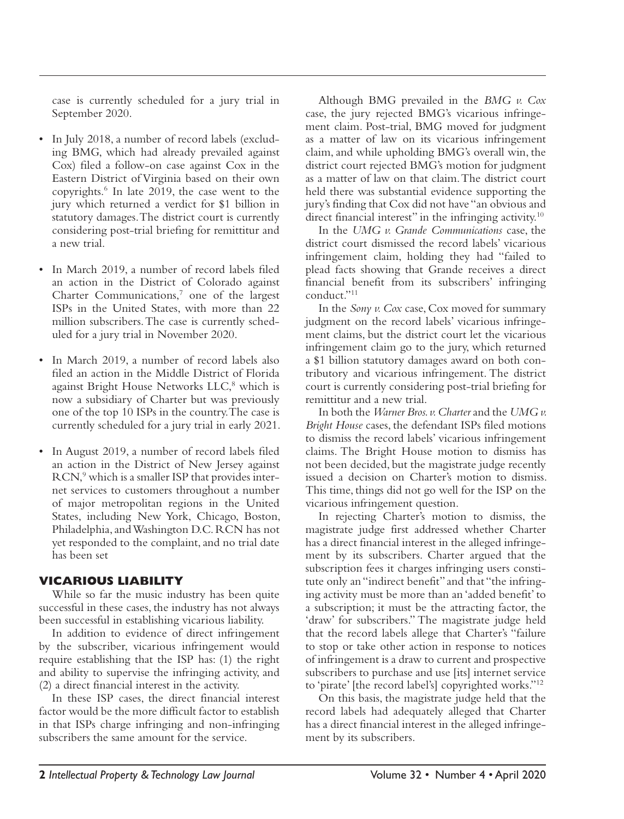case is currently scheduled for a jury trial in September 2020.

- In July 2018, a number of record labels (excluding BMG, which had already prevailed against Cox) filed a follow-on case against Cox in the Eastern District of Virginia based on their own copyrights.6 In late 2019, the case went to the jury which returned a verdict for \$1 billion in statutory damages. The district court is currently considering post-trial briefing for remittitur and a new trial.
- In March 2019, a number of record labels filed an action in the District of Colorado against Charter Communications,<sup>7</sup> one of the largest ISPs in the United States, with more than 22 million subscribers. The case is currently scheduled for a jury trial in November 2020.
- In March 2019, a number of record labels also filed an action in the Middle District of Florida against Bright House Networks LLC,<sup>8</sup> which is now a subsidiary of Charter but was previously one of the top 10 ISPs in the country. The case is currently scheduled for a jury trial in early 2021.
- In August 2019, a number of record labels filed an action in the District of New Jersey against RCN,<sup>9</sup> which is a smaller ISP that provides internet services to customers throughout a number of major metropolitan regions in the United States, including New York, Chicago, Boston, Philadelphia, and Washington D.C. RCN has not yet responded to the complaint, and no trial date has been set

# **VICARIOUS LIABILITY**

While so far the music industry has been quite successful in these cases, the industry has not always been successful in establishing vicarious liability.

In addition to evidence of direct infringement by the subscriber, vicarious infringement would require establishing that the ISP has: (1) the right and ability to supervise the infringing activity, and (2) a direct financial interest in the activity.

In these ISP cases, the direct financial interest factor would be the more difficult factor to establish in that ISPs charge infringing and non-infringing subscribers the same amount for the service.

Although BMG prevailed in the *BMG v. Cox* case, the jury rejected BMG's vicarious infringement claim. Post-trial, BMG moved for judgment as a matter of law on its vicarious infringement claim, and while upholding BMG's overall win, the district court rejected BMG's motion for judgment as a matter of law on that claim. The district court held there was substantial evidence supporting the jury's finding that Cox did not have "an obvious and direct financial interest" in the infringing activity.<sup>10</sup>

In the *UMG v. Grande Communications* case, the district court dismissed the record labels' vicarious infringement claim, holding they had "failed to plead facts showing that Grande receives a direct financial benefit from its subscribers' infringing conduct."11

In the *Sony v. Cox* case, Cox moved for summary judgment on the record labels' vicarious infringement claims, but the district court let the vicarious infringement claim go to the jury, which returned a \$1 billion statutory damages award on both contributory and vicarious infringement. The district court is currently considering post-trial briefing for remittitur and a new trial.

In both the *Warner Bros. v. Charter* and the *UMG v. Bright House* cases, the defendant ISPs filed motions to dismiss the record labels' vicarious infringement claims. The Bright House motion to dismiss has not been decided, but the magistrate judge recently issued a decision on Charter's motion to dismiss. This time, things did not go well for the ISP on the vicarious infringement question.

In rejecting Charter's motion to dismiss, the magistrate judge first addressed whether Charter has a direct financial interest in the alleged infringement by its subscribers. Charter argued that the subscription fees it charges infringing users constitute only an "indirect benefit" and that "the infringing activity must be more than an 'added benefit' to a subscription; it must be the attracting factor, the 'draw' for subscribers." The magistrate judge held that the record labels allege that Charter's "failure to stop or take other action in response to notices of infringement is a draw to current and prospective subscribers to purchase and use [its] internet service to 'pirate' [the record label's] copyrighted works."12

On this basis, the magistrate judge held that the record labels had adequately alleged that Charter has a direct financial interest in the alleged infringement by its subscribers.